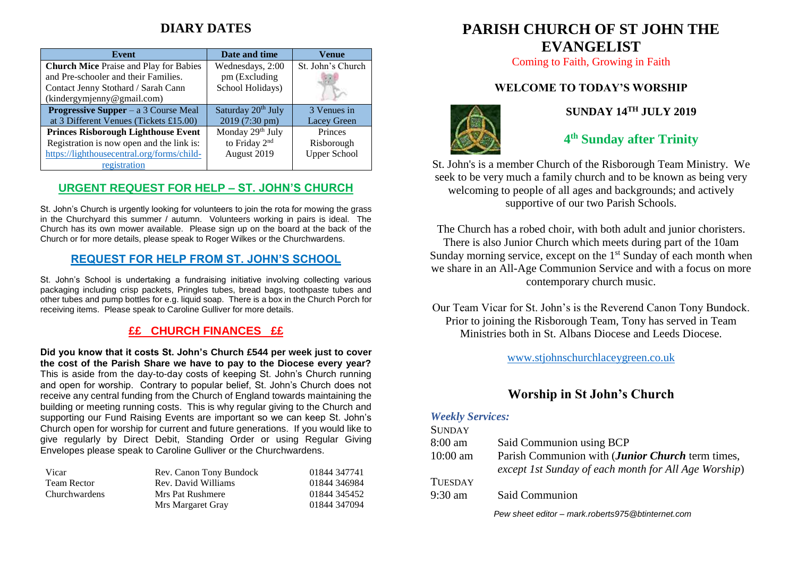## **DIARY DATES**

| Event                                         | Date and time                  | Venue               |
|-----------------------------------------------|--------------------------------|---------------------|
| <b>Church Mice Praise and Play for Babies</b> | Wednesdays, 2:00               | St. John's Church   |
| and Pre-schooler and their Families.          | pm (Excluding                  |                     |
| Contact Jenny Stothard / Sarah Cann           | School Holidays)               |                     |
| (kindergymjenny@gmail.com)                    |                                |                     |
| <b>Progressive Supper</b> – a $3$ Course Meal | Saturday 20 <sup>th</sup> July | 3 Venues in         |
| at 3 Different Venues (Tickets £15.00)        | 2019 (7:30 pm)                 | Lacey Green         |
| <b>Princes Risborough Lighthouse Event</b>    | Monday 29th July               | Princes             |
| Registration is now open and the link is:     | to Friday 2 <sup>nd</sup>      | Risborough          |
| https://lighthousecentral.org/forms/child-    | August 2019                    | <b>Upper School</b> |
| registration                                  |                                |                     |

#### **URGENT REQUEST FOR HELP – ST. JOHN'S CHURCH**

St. John's Church is urgently looking for volunteers to join the rota for mowing the grass in the Churchyard this summer / autumn. Volunteers working in pairs is ideal. The Church has its own mower available. Please sign up on the board at the back of the Church or for more details, please speak to Roger Wilkes or the Churchwardens.

#### **REQUEST FOR HELP FROM ST. JOHN'S SCHOOL**

St. John's School is undertaking a fundraising initiative involving collecting various packaging including crisp packets, Pringles tubes, bread bags, toothpaste tubes and other tubes and pump bottles for e.g. liquid soap. There is a box in the Church Porch for receiving items. Please speak to Caroline Gulliver for more details.

### **££ CHURCH FINANCES ££**

**Did you know that it costs St. John's Church £544 per week just to cover the cost of the Parish Share we have to pay to the Diocese every year?** This is aside from the day-to-day costs of keeping St. John's Church running and open for worship. Contrary to popular belief, St. John's Church does not receive any central funding from the Church of England towards maintaining the building or meeting running costs. This is why regular giving to the Church and supporting our Fund Raising Events are important so we can keep St. John's Church open for worship for current and future generations. If you would like to give regularly by Direct Debit, Standing Order or using Regular Giving Envelopes please speak to Caroline Gulliver or the Churchwardens.

| Vicar         | Rev. Canon Tony Bundock | 01844 347741 |
|---------------|-------------------------|--------------|
| Team Rector   | Rev. David Williams     | 01844 346984 |
| Churchwardens | Mrs Pat Rushmere        | 01844 345452 |
|               | Mrs Margaret Gray       | 01844 347094 |

# **PARISH CHURCH OF ST JOHN THE EVANGELIST**

Coming to Faith, Growing in Faith

## **WELCOME TO TODAY'S WORSHIP**



## **SUNDAY 14TH JULY 2019**

## **4 th Sunday after Trinity**

St. John's is a member Church of the Risborough Team Ministry. We seek to be very much a family church and to be known as being very welcoming to people of all ages and backgrounds; and actively supportive of our two Parish Schools.

The Church has a robed choir, with both adult and junior choristers. There is also Junior Church which meets during part of the 10am Sunday morning service, except on the  $1<sup>st</sup>$  Sunday of each month when we share in an All-Age Communion Service and with a focus on more contemporary church music.

Our Team Vicar for St. John's is the Reverend Canon Tony Bundock. Prior to joining the Risborough Team, Tony has served in Team Ministries both in St. Albans Diocese and Leeds Diocese.

[www.stjohnschurchlaceygreen.co.uk](http://www.stjohnschurchlaceygreen.co.uk/)

### **Worship in St John's Church**

#### *Weekly Services:*

| <b>SUNDAY</b>     |                                                                                                          |
|-------------------|----------------------------------------------------------------------------------------------------------|
| $8:00 \text{ am}$ | Said Communion using BCP                                                                                 |
| $10:00$ am        | Parish Communion with (Junior Church term times,<br>except 1st Sunday of each month for All Age Worship) |
| <b>TUESDAY</b>    |                                                                                                          |
| $9:30$ am         | Said Communion                                                                                           |
|                   |                                                                                                          |

*Pew sheet editor – mark.roberts975@btinternet.com*